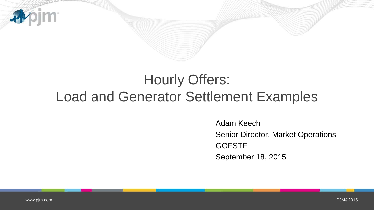

# Hourly Offers: Load and Generator Settlement Examples

Adam Keech Senior Director, Market Operations **GOFSTF** September 18, 2015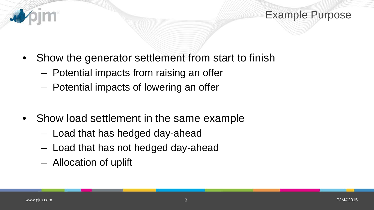

- Show the generator settlement from start to finish
	- Potential impacts from raising an offer
	- Potential impacts of lowering an offer
- Show load settlement in the same example
	- Load that has hedged day-ahead
	- Load that has not hedged day-ahead
	- Allocation of uplift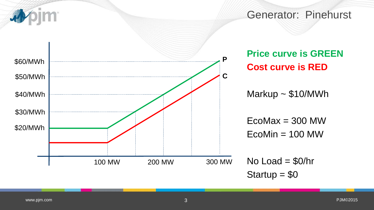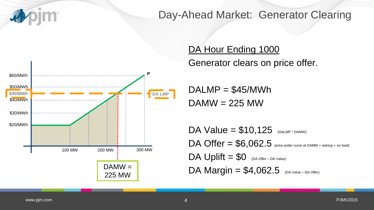

### Day-Ahead Market: Generator Clearing



DA Hour Ending 1000

Generator clears on price offer.

 $DALMP = $45/MWh$  $DAMW = 225 MW$ 

DA Value  $= $10,125$  (DALMP \* DAMW)  $DA$  Offer =  $$6,062.5$  (area under curve at DAMW + startup + no load)  $DA$  Uplift =  $$0$  (DA Offer – DA Value) DA Margin  $= $4,062.5$  (DA Value – DA Offer)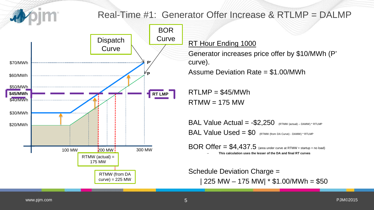### Real-Time #1: Generator Offer Increase & RTLMP = DALMP



RT Hour Ending 1000

Generator increases price offer by \$10/MWh (P' curve).

Assume Deviation Rate = \$1.00/MWh

 $RTLMP = $45/MWh$  $RTMW = 175 MW$ 

BAL Value Actual  $= -\$2,250$  (RTMW (actual) – DAMW) \* RTLMP BAL Value Used = \$0 (RTMW (from DA Curve) - DAMW) \* RTLMP

 $BOR$  Offer =  $$4,437.5$  (area under curve at RTMW + startup + no load) – **This calculation uses the lesser of the DA and final RT curves**

Schedule Deviation Charge = | 225 MW – 175 MW| \* \$1.00/MWh = \$50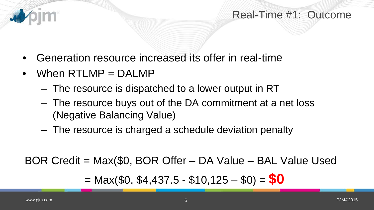### Real-Time #1: Outcome

- Generation resource increased its offer in real-time
- When RTLMP = DALMP
	- The resource is dispatched to a lower output in RT
	- The resource buys out of the DA commitment at a net loss (Negative Balancing Value)
	- The resource is charged a schedule deviation penalty

BOR Credit = Max(\$0, BOR Offer – DA Value – BAL Value Used

 $=$  Max(\$0, \$4,437.5 - \$10,125 - \$0) =  $$0$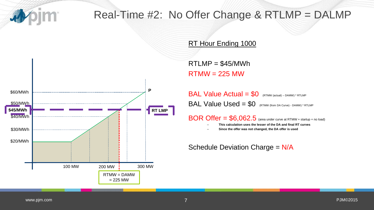

### Real-Time #2: No Offer Change & RTLMP = DALMP

RT Hour Ending 1000

\$20/MWh \$30/MWh \$40/MWh \$50/MWh 100 MW 200 MW  $\frac{1}{2}$  300 MW \$60/MWh **P \$45/MWh RT LMP** RTMW = DAMW  $= 225$  MW

 $RTLMP = $45/MWh$  $RTMW = 225 MW$ 

 $BAL Value Actual = $0$  (RTMW (actual) – DAMW) \* RTLMP BAL Value Used = \$0 (RTMW (from DA Curve) - DAMW) \* RTLMP

 $BOR$  Offer =  $$6,062.5$  (area under curve at RTMW + startup + no load)

– **This calculation uses the lesser of the DA and final RT curves**

– **Since the offer was not changed, the DA offer is used**

Schedule Deviation Charge = N/A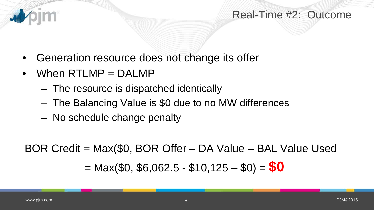### Real-Time #2: Outcome

- Generation resource does not change its offer
- When RTLMP = DALMP
	- The resource is dispatched identically
	- The Balancing Value is \$0 due to no MW differences
	- No schedule change penalty

BOR Credit = Max(\$0, BOR Offer – DA Value – BAL Value Used  $=$  Max(\$0, \$6,062.5 - \$10,125 - \$0) =  $$0$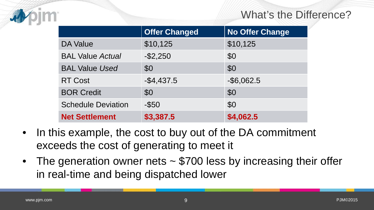### What's the Difference?

|                           | <b>Offer Changed</b> | <b>No Offer Change</b> |
|---------------------------|----------------------|------------------------|
| <b>DA Value</b>           | \$10,125             | \$10,125               |
| <b>BAL Value Actual</b>   | $-$ \$2,250          | \$0                    |
| <b>BAL Value Used</b>     | \$0                  | \$0                    |
| <b>RT Cost</b>            | $-$4,437.5$          | $-$ \$6,062.5          |
| <b>BOR Credit</b>         | \$0                  | \$0                    |
| <b>Schedule Deviation</b> | $-$ \$50             | \$0                    |
| <b>Net Settlement</b>     | \$3,387.5            | \$4,062.5              |

- In this example, the cost to buy out of the DA commitment exceeds the cost of generating to meet it
- The generation owner nets ~ \$700 less by increasing their offer in real-time and being dispatched lower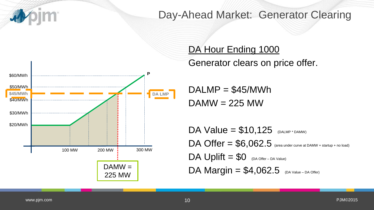

### Day-Ahead Market: Generator Clearing



### DA Hour Ending 1000

Generator clears on price offer.

 $DALMP = $45/MWh$  $DAMW = 225 MW$ 

DA Value  $= $10,125$  (DALMP \* DAMW)  $DA$  Offer =  $$6,062.5$  (area under curve at DAMW + startup + no load)  $DA$  Uplift  $= $0$  (DA Offer – DA Value) DA Margin  $= $4,062.5$  (DA Value – DA Offer)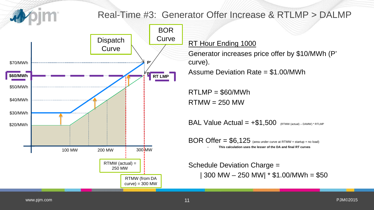### Real-Time #3: Generator Offer Increase & RTLMP > DALMP

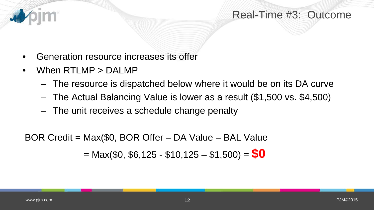### Real-Time #3: Outcome

- Generation resource increases its offer
- When RTLMP > DALMP
	- The resource is dispatched below where it would be on its DA curve
	- The Actual Balancing Value is lower as a result (\$1,500 vs. \$4,500)
	- The unit receives a schedule change penalty

BOR Credit = Max(\$0, BOR Offer – DA Value – BAL Value  $=$  Max(\$0, \$6,125 - \$10,125 - \$1,500) =  $$0$ 

看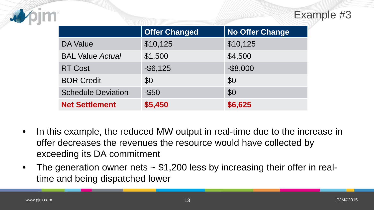

|                           | <b>Offer Changed</b> | <b>No Offer Change</b> |
|---------------------------|----------------------|------------------------|
| <b>DA Value</b>           | \$10,125             | \$10,125               |
| <b>BAL Value Actual</b>   | \$1,500              | \$4,500                |
| <b>RT Cost</b>            | $-$ \$6,125          | $-$ \$8,000            |
| <b>BOR Credit</b>         | \$0                  | \$0                    |
| <b>Schedule Deviation</b> | $-$ \$50             | \$0                    |
| <b>Net Settlement</b>     | \$5,450              | \$6,625                |

- In this example, the reduced MW output in real-time due to the increase in offer decreases the revenues the resource would have collected by exceeding its DA commitment
- The generation owner nets ~ \$1,200 less by increasing their offer in realtime and being dispatched lower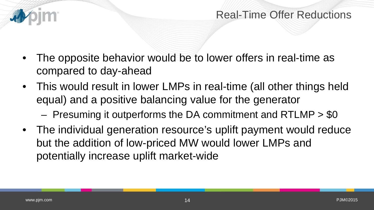### Real-Time Offer Reductions

- The opposite behavior would be to lower offers in real-time as compared to day-ahead
- This would result in lower LMPs in real-time (all other things held equal) and a positive balancing value for the generator
	- Presuming it outperforms the DA commitment and RTLMP > \$0
- The individual generation resource's uplift payment would reduce but the addition of low-priced MW would lower LMPs and potentially increase uplift market-wide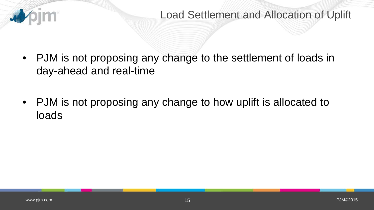

- PJM is not proposing any change to the settlement of loads in day-ahead and real-time
- PJM is not proposing any change to how uplift is allocated to loads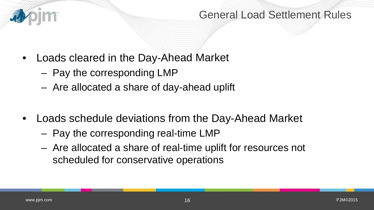

### General Load Settlement Rules

- Loads cleared in the Day-Ahead Market
	- Pay the corresponding LMP
	- Are allocated a share of day-ahead uplift
- Loads schedule deviations from the Day-Ahead Market
	- Pay the corresponding real-time LMP
	- Are allocated a share of real-time uplift for resources not scheduled for conservative operations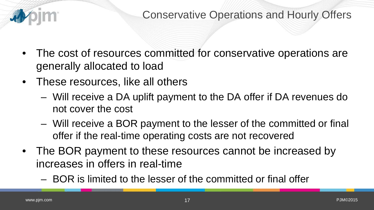

- The cost of resources committed for conservative operations are generally allocated to load
- These resources, like all others
	- Will receive a DA uplift payment to the DA offer if DA revenues do not cover the cost
	- Will receive a BOR payment to the lesser of the committed or final offer if the real-time operating costs are not recovered
- The BOR payment to these resources cannot be increased by increases in offers in real-time
	- BOR is limited to the lesser of the committed or final offer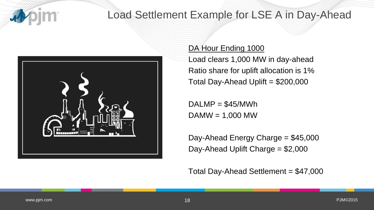

## Load Settlement Example for LSE A in Day-Ahead



### DA Hour Ending 1000

Load clears 1,000 MW in day-ahead Ratio share for uplift allocation is 1% Total Day-Ahead Uplift = \$200,000

 $DALMP = $45/MWh$  $DAMW = 1,000 MW$ 

Day-Ahead Energy Charge = \$45,000 Day-Ahead Uplift Charge = \$2,000

Total Day-Ahead Settlement = \$47,000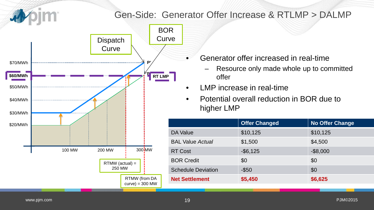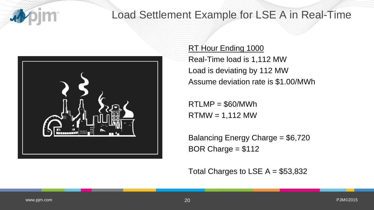

## Load Settlement Example for LSE A in Real-Time



RT Hour Ending 1000 Real-Time load is 1,112 MW Load is deviating by 112 MW Assume deviation rate is \$1.00/MWh

 $RTLMP = $60/MWh$  $RTMW = 1,112 MW$ 

Balancing Energy Charge = \$6,720 BOR Charge = \$112

Total Charges to LSE  $A = $53,832$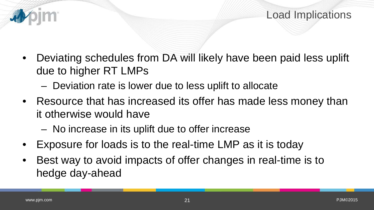

- Deviating schedules from DA will likely have been paid less uplift due to higher RT LMPs
	- Deviation rate is lower due to less uplift to allocate
- Resource that has increased its offer has made less money than it otherwise would have
	- No increase in its uplift due to offer increase
- Exposure for loads is to the real-time LMP as it is today
- Best way to avoid impacts of offer changes in real-time is to hedge day-ahead